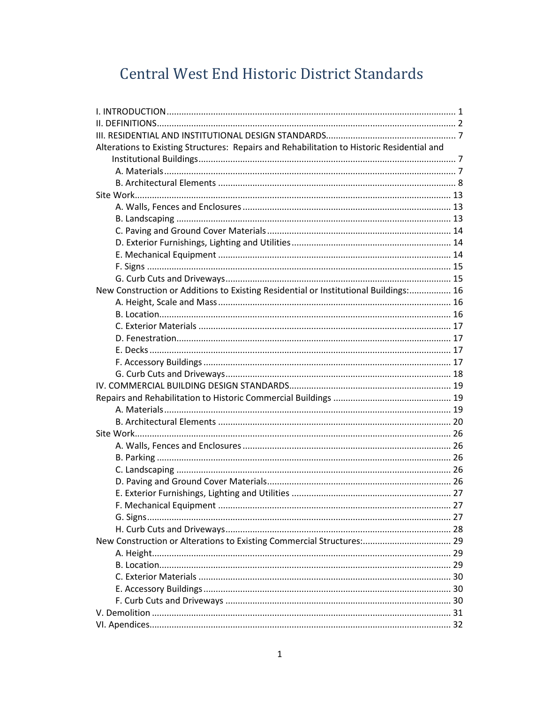# Central West End Historic District Standards

| Alterations to Existing Structures: Repairs and Rehabilitation to Historic Residential and |  |
|--------------------------------------------------------------------------------------------|--|
|                                                                                            |  |
|                                                                                            |  |
|                                                                                            |  |
|                                                                                            |  |
|                                                                                            |  |
|                                                                                            |  |
|                                                                                            |  |
|                                                                                            |  |
|                                                                                            |  |
|                                                                                            |  |
|                                                                                            |  |
| New Construction or Additions to Existing Residential or Institutional Buildings: 16       |  |
|                                                                                            |  |
|                                                                                            |  |
|                                                                                            |  |
|                                                                                            |  |
|                                                                                            |  |
|                                                                                            |  |
|                                                                                            |  |
|                                                                                            |  |
|                                                                                            |  |
|                                                                                            |  |
|                                                                                            |  |
|                                                                                            |  |
|                                                                                            |  |
|                                                                                            |  |
|                                                                                            |  |
|                                                                                            |  |
|                                                                                            |  |
|                                                                                            |  |
|                                                                                            |  |
|                                                                                            |  |
| New Construction or Alterations to Existing Commercial Structures: 29                      |  |
|                                                                                            |  |
|                                                                                            |  |
|                                                                                            |  |
|                                                                                            |  |
|                                                                                            |  |
|                                                                                            |  |
|                                                                                            |  |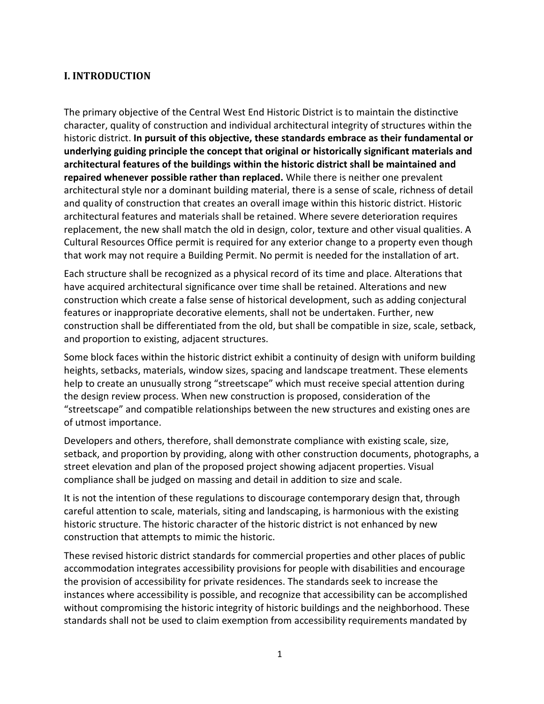# **I. INTRODUCTION**

The primary objective of the Central West End Historic District is to maintain the distinctive character, quality of construction and individual architectural integrity of structures within the historic district. **In pursuit of this objective, these standards embrace as their fundamental or underlying guiding principle the concept that original or historically significant materials and architectural features of the buildings within the historic district shall be maintained and repaired whenever possible rather than replaced.** While there is neither one prevalent architectural style nor a dominant building material, there is a sense of scale, richness of detail and quality of construction that creates an overall image within this historic district. Historic architectural features and materials shall be retained. Where severe deterioration requires replacement, the new shall match the old in design, color, texture and other visual qualities. A Cultural Resources Office permit is required for any exterior change to a property even though that work may not require a Building Permit. No permit is needed for the installation of art.

Each structure shall be recognized as a physical record of its time and place. Alterations that have acquired architectural significance over time shall be retained. Alterations and new construction which create a false sense of historical development, such as adding conjectural features or inappropriate decorative elements, shall not be undertaken. Further, new construction shall be differentiated from the old, but shall be compatible in size, scale, setback, and proportion to existing, adjacent structures.

Some block faces within the historic district exhibit a continuity of design with uniform building heights, setbacks, materials, window sizes, spacing and landscape treatment. These elements help to create an unusually strong "streetscape" which must receive special attention during the design review process. When new construction is proposed, consideration of the "streetscape" and compatible relationships between the new structures and existing ones are of utmost importance.

Developers and others, therefore, shall demonstrate compliance with existing scale, size, setback, and proportion by providing, along with other construction documents, photographs, a street elevation and plan of the proposed project showing adjacent properties. Visual compliance shall be judged on massing and detail in addition to size and scale.

It is not the intention of these regulations to discourage contemporary design that, through careful attention to scale, materials, siting and landscaping, is harmonious with the existing historic structure. The historic character of the historic district is not enhanced by new construction that attempts to mimic the historic.

These revised historic district standards for commercial properties and other places of public accommodation integrates accessibility provisions for people with disabilities and encourage the provision of accessibility for private residences. The standards seek to increase the instances where accessibility is possible, and recognize that accessibility can be accomplished without compromising the historic integrity of historic buildings and the neighborhood. These standards shall not be used to claim exemption from accessibility requirements mandated by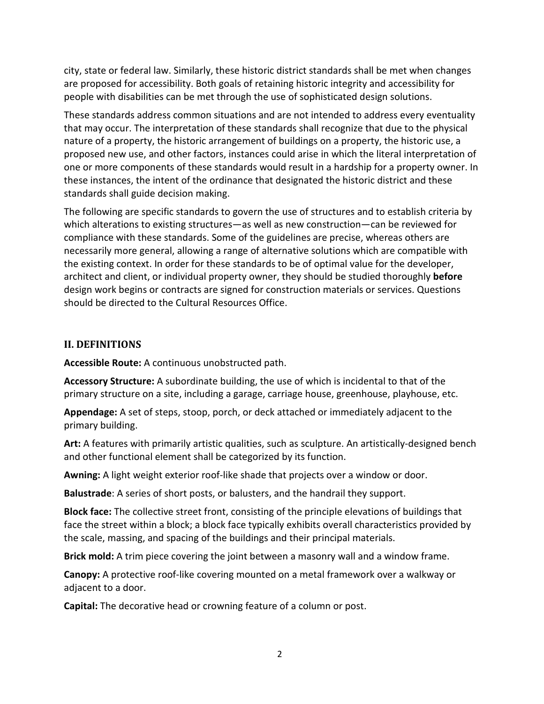city, state or federal law. Similarly, these historic district standards shall be met when changes are proposed for accessibility. Both goals of retaining historic integrity and accessibility for people with disabilities can be met through the use of sophisticated design solutions.

These standards address common situations and are not intended to address every eventuality that may occur. The interpretation of these standards shall recognize that due to the physical nature of a property, the historic arrangement of buildings on a property, the historic use, a proposed new use, and other factors, instances could arise in which the literal interpretation of one or more components of these standards would result in a hardship for a property owner. In these instances, the intent of the ordinance that designated the historic district and these standards shall guide decision making.

The following are specific standards to govern the use of structures and to establish criteria by which alterations to existing structures—as well as new construction—can be reviewed for compliance with these standards. Some of the guidelines are precise, whereas others are necessarily more general, allowing a range of alternative solutions which are compatible with the existing context. In order for these standards to be of optimal value for the developer, architect and client, or individual property owner, they should be studied thoroughly **before**  design work begins or contracts are signed for construction materials or services. Questions should be directed to the Cultural Resources Office.

#### **II. DEFINITIONS**

**Accessible Route:** A continuous unobstructed path.

**Accessory Structure:** A subordinate building, the use of which is incidental to that of the primary structure on a site, including a garage, carriage house, greenhouse, playhouse, etc.

**Appendage:** A set of steps, stoop, porch, or deck attached or immediately adjacent to the primary building.

**Art:** A features with primarily artistic qualities, such as sculpture. An artistically-designed bench and other functional element shall be categorized by its function.

**Awning:** A light weight exterior roof-like shade that projects over a window or door.

**Balustrade**: A series of short posts, or balusters, and the handrail they support.

**Block face:** The collective street front, consisting of the principle elevations of buildings that face the street within a block; a block face typically exhibits overall characteristics provided by the scale, massing, and spacing of the buildings and their principal materials.

**Brick mold:** A trim piece covering the joint between a masonry wall and a window frame.

**Canopy:** A protective roof-like covering mounted on a metal framework over a walkway or adjacent to a door.

**Capital:** The decorative head or crowning feature of a column or post.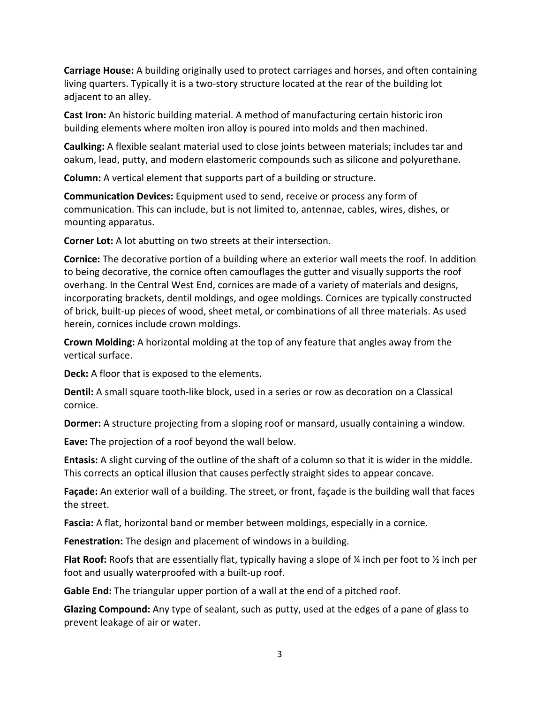**Carriage House:** A building originally used to protect carriages and horses, and often containing living quarters. Typically it is a two-story structure located at the rear of the building lot adjacent to an alley.

**Cast Iron:** An historic building material. A method of manufacturing certain historic iron building elements where molten iron alloy is poured into molds and then machined.

**Caulking:** A flexible sealant material used to close joints between materials; includes tar and oakum, lead, putty, and modern elastomeric compounds such as silicone and polyurethane.

**Column:** A vertical element that supports part of a building or structure.

**Communication Devices:** Equipment used to send, receive or process any form of communication. This can include, but is not limited to, antennae, cables, wires, dishes, or mounting apparatus.

**Corner Lot:** A lot abutting on two streets at their intersection.

**Cornice:** The decorative portion of a building where an exterior wall meets the roof. In addition to being decorative, the cornice often camouflages the gutter and visually supports the roof overhang. In the Central West End, cornices are made of a variety of materials and designs, incorporating brackets, dentil moldings, and ogee moldings. Cornices are typically constructed of brick, built-up pieces of wood, sheet metal, or combinations of all three materials. As used herein, cornices include crown moldings.

**Crown Molding:** A horizontal molding at the top of any feature that angles away from the vertical surface.

**Deck:** A floor that is exposed to the elements.

**Dentil:** A small square tooth-like block, used in a series or row as decoration on a Classical cornice.

**Dormer:** A structure projecting from a sloping roof or mansard, usually containing a window.

**Eave:** The projection of a roof beyond the wall below.

**Entasis:** A slight curving of the outline of the shaft of a column so that it is wider in the middle. This corrects an optical illusion that causes perfectly straight sides to appear concave.

**Façade:** An exterior wall of a building. The street, or front, façade is the building wall that faces the street.

**Fascia:** A flat, horizontal band or member between moldings, especially in a cornice.

**Fenestration:** The design and placement of windows in a building.

**Flat Roof:** Roofs that are essentially flat, typically having a slope of ¼ inch per foot to ½ inch per foot and usually waterproofed with a built-up roof.

**Gable End:** The triangular upper portion of a wall at the end of a pitched roof.

**Glazing Compound:** Any type of sealant, such as putty, used at the edges of a pane of glass to prevent leakage of air or water.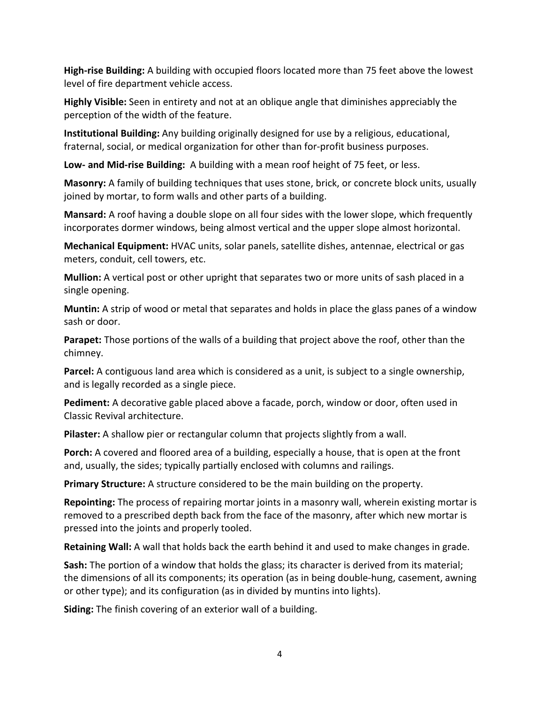**High-rise Building:** A building with occupied floors located more than 75 feet above the lowest level of fire department vehicle access.

**Highly Visible:** Seen in entirety and not at an oblique angle that diminishes appreciably the perception of the width of the feature.

**Institutional Building:** Any building originally designed for use by a religious, educational, fraternal, social, or medical organization for other than for-profit business purposes.

**Low- and Mid-rise Building:** A building with a mean roof height of 75 feet, or less.

**Masonry:** A family of building techniques that uses stone, brick, or concrete block units, usually joined by mortar, to form walls and other parts of a building.

**Mansard:** A roof having a double slope on all four sides with the lower slope, which frequently incorporates dormer windows, being almost vertical and the upper slope almost horizontal.

**Mechanical Equipment:** HVAC units, solar panels, satellite dishes, antennae, electrical or gas meters, conduit, cell towers, etc.

**Mullion:** A vertical post or other upright that separates two or more units of sash placed in a single opening.

**Muntin:** A strip of wood or metal that separates and holds in place the glass panes of a window sash or door.

**Parapet:** Those portions of the walls of a building that project above the roof, other than the chimney.

**Parcel:** A contiguous land area which is considered as a unit, is subject to a single ownership, and is legally recorded as a single piece.

**Pediment:** A decorative gable placed above a facade, porch, window or door, often used in Classic Revival architecture.

**Pilaster:** A shallow pier or rectangular column that projects slightly from a wall.

**Porch:** A covered and floored area of a building, especially a house, that is open at the front and, usually, the sides; typically partially enclosed with columns and railings.

**Primary Structure:** A structure considered to be the main building on the property.

**Repointing:** The process of repairing mortar joints in a masonry wall, wherein existing mortar is removed to a prescribed depth back from the face of the masonry, after which new mortar is pressed into the joints and properly tooled.

**Retaining Wall:** A wall that holds back the earth behind it and used to make changes in grade.

**Sash:** The portion of a window that holds the glass; its character is derived from its material; the dimensions of all its components; its operation (as in being double-hung, casement, awning or other type); and its configuration (as in divided by muntins into lights).

**Siding:** The finish covering of an exterior wall of a building.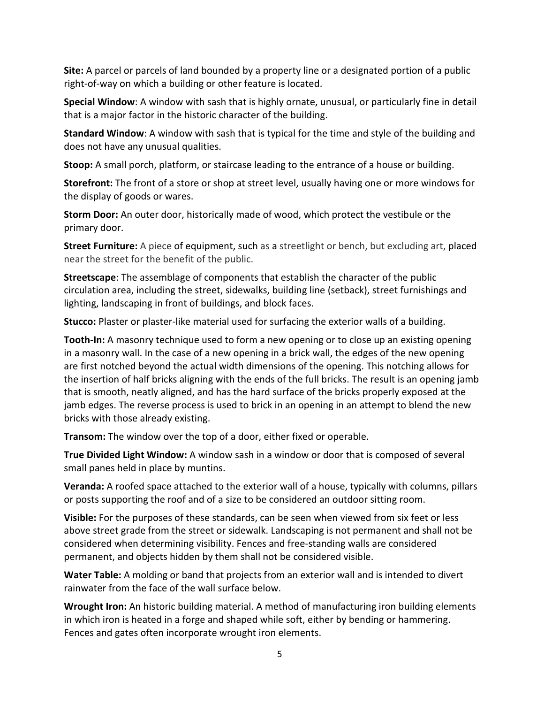**Site:** A parcel or parcels of land bounded by a property line or a designated portion of a public right-of-way on which a building or other feature is located.

**Special Window**: A window with sash that is highly ornate, unusual, or particularly fine in detail that is a major factor in the historic character of the building.

**Standard Window**: A window with sash that is typical for the time and style of the building and does not have any unusual qualities.

**Stoop:** A small porch, platform, or staircase leading to the entrance of a house or building.

**Storefront:** The front of a store or shop at street level, usually having one or more windows for the display of goods or wares.

**Storm Door:** An outer door, historically made of wood, which protect the vestibule or the primary door.

**Street Furniture:** A piece of equipment, such as a streetlight or bench, but excluding art, placed near the street for the benefit of the public.

**Streetscape**: The assemblage of components that establish the character of the public circulation area, including the street, sidewalks, building line (setback), street furnishings and lighting, landscaping in front of buildings, and block faces.

**Stucco:** Plaster or plaster-like material used for surfacing the exterior walls of a building.

**Tooth-In:** A masonry technique used to form a new opening or to close up an existing opening in a masonry wall. In the case of a new opening in a brick wall, the edges of the new opening are first notched beyond the actual width dimensions of the opening. This notching allows for the insertion of half bricks aligning with the ends of the full bricks. The result is an opening jamb that is smooth, neatly aligned, and has the hard surface of the bricks properly exposed at the jamb edges. The reverse process is used to brick in an opening in an attempt to blend the new bricks with those already existing.

**Transom:** The window over the top of a door, either fixed or operable.

**True Divided Light Window:** A window sash in a window or door that is composed of several small panes held in place by muntins.

**Veranda:** A roofed space attached to the exterior wall of a house, typically with columns, pillars or posts supporting the roof and of a size to be considered an outdoor sitting room.

**Visible:** For the purposes of these standards, can be seen when viewed from six feet or less above street grade from the street or sidewalk. Landscaping is not permanent and shall not be considered when determining visibility. Fences and free-standing walls are considered permanent, and objects hidden by them shall not be considered visible.

**Water Table:** A molding or band that projects from an exterior wall and is intended to divert rainwater from the face of the wall surface below.

**Wrought Iron:** An historic building material. A method of manufacturing iron building elements in which iron is heated in a forge and shaped while soft, either by bending or hammering. Fences and gates often incorporate wrought iron elements.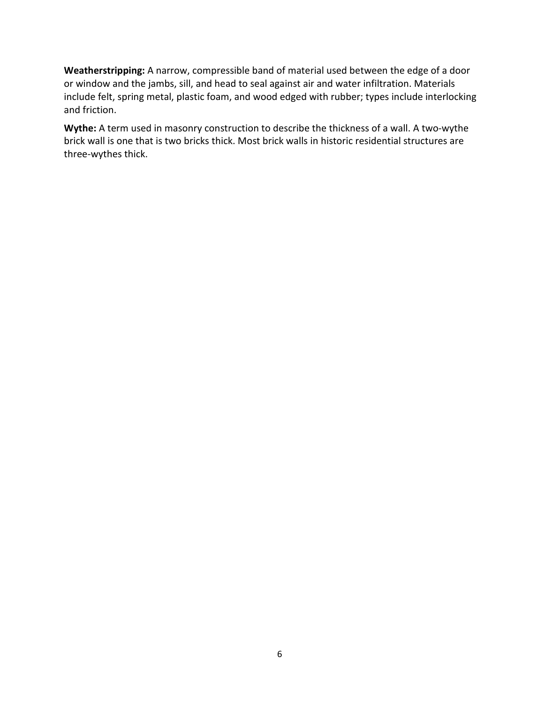**Weatherstripping:** A narrow, compressible band of material used between the edge of a door or window and the jambs, sill, and head to seal against air and water infiltration. Materials include felt, spring metal, plastic foam, and wood edged with rubber; types include interlocking and friction.

**Wythe:** A term used in masonry construction to describe the thickness of a wall. A two-wythe brick wall is one that is two bricks thick. Most brick walls in historic residential structures are three-wythes thick.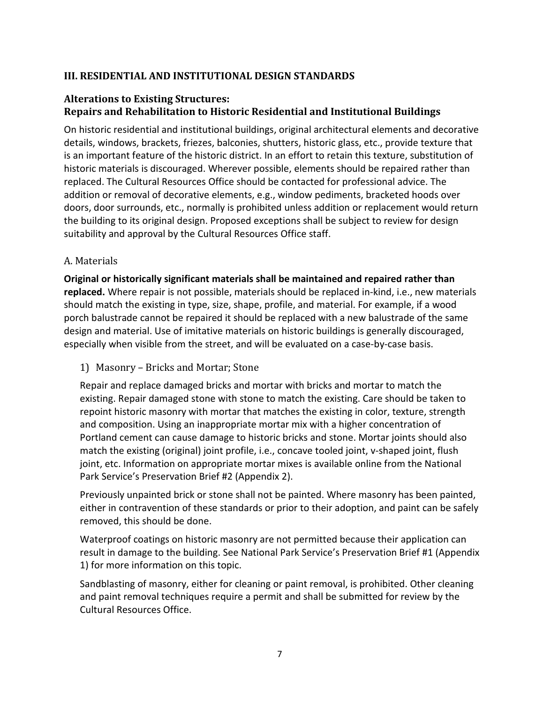# **III. RESIDENTIAL AND INSTITUTIONAL DESIGN STANDARDS**

# **Alterations to Existing Structures: Repairs and Rehabilitation to Historic Residential and Institutional Buildings**

On historic residential and institutional buildings, original architectural elements and decorative details, windows, brackets, friezes, balconies, shutters, historic glass, etc., provide texture that is an important feature of the historic district. In an effort to retain this texture, substitution of historic materials is discouraged. Wherever possible, elements should be repaired rather than replaced. The Cultural Resources Office should be contacted for professional advice. The addition or removal of decorative elements, e.g., window pediments, bracketed hoods over doors, door surrounds, etc., normally is prohibited unless addition or replacement would return the building to its original design. Proposed exceptions shall be subject to review for design suitability and approval by the Cultural Resources Office staff.

#### A. Materials

**Original or historically significant materials shall be maintained and repaired rather than replaced.** Where repair is not possible, materials should be replaced in-kind, i.e., new materials should match the existing in type, size, shape, profile, and material. For example, if a wood porch balustrade cannot be repaired it should be replaced with a new balustrade of the same design and material. Use of imitative materials on historic buildings is generally discouraged, especially when visible from the street, and will be evaluated on a case-by-case basis.

1) Masonry – Bricks and Mortar; Stone

Repair and replace damaged bricks and mortar with bricks and mortar to match the existing. Repair damaged stone with stone to match the existing. Care should be taken to repoint historic masonry with mortar that matches the existing in color, texture, strength and composition. Using an inappropriate mortar mix with a higher concentration of Portland cement can cause damage to historic bricks and stone. Mortar joints should also match the existing (original) joint profile, i.e., concave tooled joint, v-shaped joint, flush joint, etc. Information on appropriate mortar mixes is available online from the National Park Service's Preservation Brief #2 (Appendix 2).

Previously unpainted brick or stone shall not be painted. Where masonry has been painted, either in contravention of these standards or prior to their adoption, and paint can be safely removed, this should be done.

Waterproof coatings on historic masonry are not permitted because their application can result in damage to the building. See National Park Service's Preservation Brief #1 (Appendix 1) for more information on this topic.

Sandblasting of masonry, either for cleaning or paint removal, is prohibited. Other cleaning and paint removal techniques require a permit and shall be submitted for review by the Cultural Resources Office.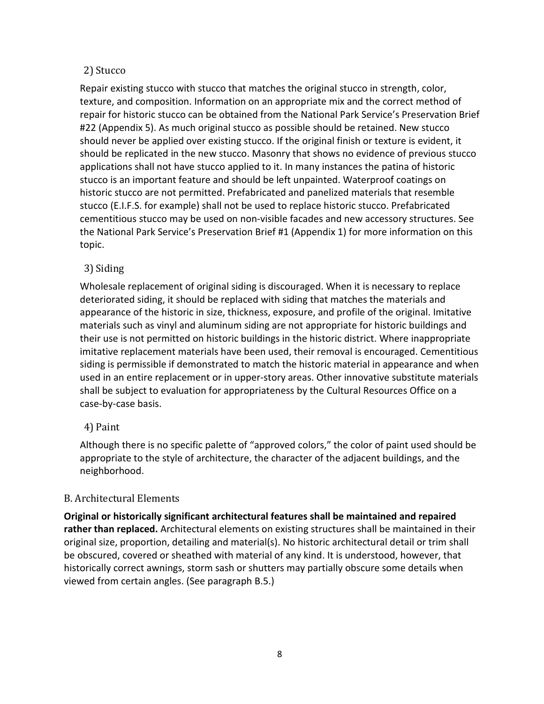### 2) Stucco

Repair existing stucco with stucco that matches the original stucco in strength, color, texture, and composition. Information on an appropriate mix and the correct method of repair for historic stucco can be obtained from the National Park Service's Preservation Brief #22 (Appendix 5). As much original stucco as possible should be retained. New stucco should never be applied over existing stucco. If the original finish or texture is evident, it should be replicated in the new stucco. Masonry that shows no evidence of previous stucco applications shall not have stucco applied to it. In many instances the patina of historic stucco is an important feature and should be left unpainted. Waterproof coatings on historic stucco are not permitted. Prefabricated and panelized materials that resemble stucco (E.I.F.S. for example) shall not be used to replace historic stucco. Prefabricated cementitious stucco may be used on non-visible facades and new accessory structures. See the National Park Service's Preservation Brief #1 (Appendix 1) for more information on this topic.

# 3) Siding

Wholesale replacement of original siding is discouraged. When it is necessary to replace deteriorated siding, it should be replaced with siding that matches the materials and appearance of the historic in size, thickness, exposure, and profile of the original. Imitative materials such as vinyl and aluminum siding are not appropriate for historic buildings and their use is not permitted on historic buildings in the historic district. Where inappropriate imitative replacement materials have been used, their removal is encouraged. Cementitious siding is permissible if demonstrated to match the historic material in appearance and when used in an entire replacement or in upper-story areas. Other innovative substitute materials shall be subject to evaluation for appropriateness by the Cultural Resources Office on a case-by-case basis.

# 4) Paint

Although there is no specific palette of "approved colors," the color of paint used should be appropriate to the style of architecture, the character of the adjacent buildings, and the neighborhood.

# B. Architectural Elements

**Original or historically significant architectural features shall be maintained and repaired rather than replaced.** Architectural elements on existing structures shall be maintained in their original size, proportion, detailing and material(s). No historic architectural detail or trim shall be obscured, covered or sheathed with material of any kind. It is understood, however, that historically correct awnings, storm sash or shutters may partially obscure some details when viewed from certain angles. (See paragraph B.5.)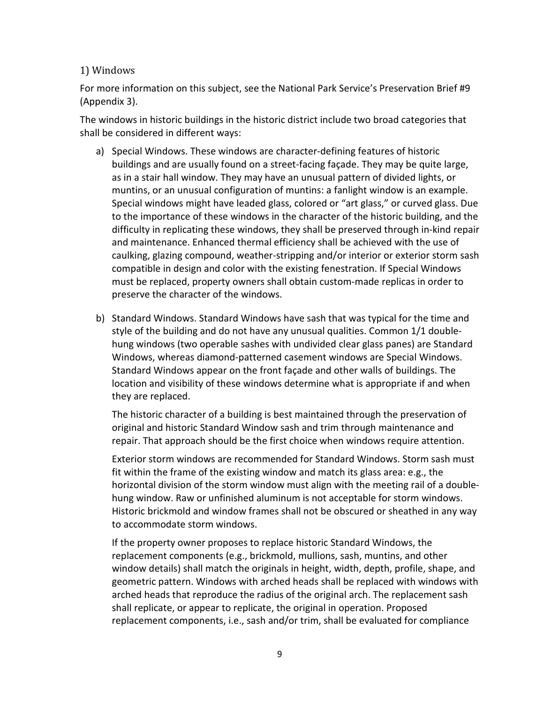#### 1) Windows

For more information on this subject, see the National Park Service's Preservation Brief #9 (Appendix 3).

The windows in historic buildings in the historic district include two broad categories that shall be considered in different ways:

- a) Special Windows. These windows are character-defining features of historic buildings and are usually found on a street-facing façade. They may be quite large, as in a stair hall window. They may have an unusual pattern of divided lights, or muntins, or an unusual configuration of muntins: a fanlight window is an example. Special windows might have leaded glass, colored or "art glass," or curved glass. Due to the importance of these windows in the character of the historic building, and the difficulty in replicating these windows, they shall be preserved through in-kind repair and maintenance. Enhanced thermal efficiency shall be achieved with the use of caulking, glazing compound, weather-stripping and/or interior or exterior storm sash compatible in design and color with the existing fenestration. If Special Windows must be replaced, property owners shall obtain custom-made replicas in order to preserve the character of the windows.
- b) Standard Windows. Standard Windows have sash that was typical for the time and style of the building and do not have any unusual qualities. Common 1/1 doublehung windows (two operable sashes with undivided clear glass panes) are Standard Windows, whereas diamond-patterned casement windows are Special Windows. Standard Windows appear on the front façade and other walls of buildings. The location and visibility of these windows determine what is appropriate if and when they are replaced.

 The historic character of a building is best maintained through the preservation of original and historic Standard Window sash and trim through maintenance and repair. That approach should be the first choice when windows require attention.

 Exterior storm windows are recommended for Standard Windows. Storm sash must fit within the frame of the existing window and match its glass area: e.g., the horizontal division of the storm window must align with the meeting rail of a doublehung window. Raw or unfinished aluminum is not acceptable for storm windows. Historic brickmold and window frames shall not be obscured or sheathed in any way to accommodate storm windows.

 If the property owner proposes to replace historic Standard Windows, the replacement components (e.g., brickmold, mullions, sash, muntins, and other window details) shall match the originals in height, width, depth, profile, shape, and geometric pattern. Windows with arched heads shall be replaced with windows with arched heads that reproduce the radius of the original arch. The replacement sash shall replicate, or appear to replicate, the original in operation. Proposed replacement components, i.e., sash and/or trim, shall be evaluated for compliance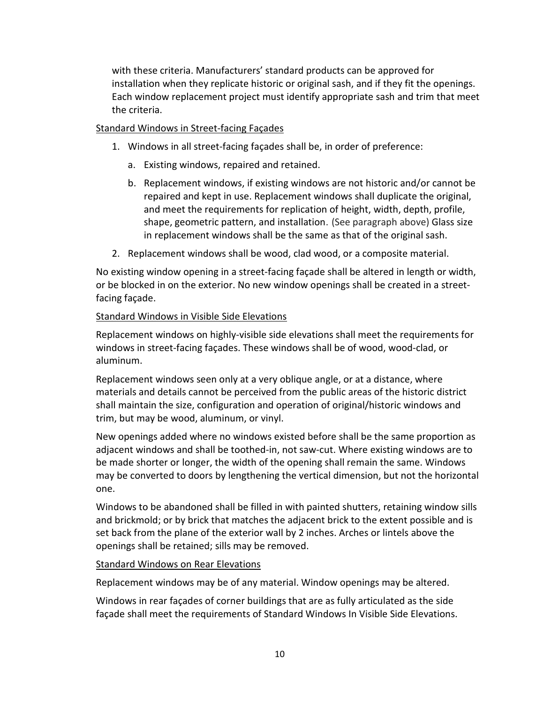with these criteria. Manufacturers' standard products can be approved for installation when they replicate historic or original sash, and if they fit the openings. Each window replacement project must identify appropriate sash and trim that meet the criteria.

#### Standard Windows in Street-facing Façades

- 1. Windows in all street-facing façades shall be, in order of preference:
	- a. Existing windows, repaired and retained.
	- b. Replacement windows, if existing windows are not historic and/or cannot be repaired and kept in use. Replacement windows shall duplicate the original, and meet the requirements for replication of height, width, depth, profile, shape, geometric pattern, and installation. (See paragraph above) Glass size in replacement windows shall be the same as that of the original sash.
- 2. Replacement windows shall be wood, clad wood, or a composite material.

No existing window opening in a street-facing façade shall be altered in length or width, or be blocked in on the exterior. No new window openings shall be created in a streetfacing façade.

#### Standard Windows in Visible Side Elevations

Replacement windows on highly-visible side elevations shall meet the requirements for windows in street-facing façades. These windows shall be of wood, wood-clad, or aluminum.

Replacement windows seen only at a very oblique angle, or at a distance, where materials and details cannot be perceived from the public areas of the historic district shall maintain the size, configuration and operation of original/historic windows and trim, but may be wood, aluminum, or vinyl.

New openings added where no windows existed before shall be the same proportion as adjacent windows and shall be toothed-in, not saw-cut. Where existing windows are to be made shorter or longer, the width of the opening shall remain the same. Windows may be converted to doors by lengthening the vertical dimension, but not the horizontal one.

Windows to be abandoned shall be filled in with painted shutters, retaining window sills and brickmold; or by brick that matches the adjacent brick to the extent possible and is set back from the plane of the exterior wall by 2 inches. Arches or lintels above the openings shall be retained; sills may be removed.

#### Standard Windows on Rear Elevations

Replacement windows may be of any material. Window openings may be altered.

Windows in rear façades of corner buildings that are as fully articulated as the side façade shall meet the requirements of Standard Windows In Visible Side Elevations.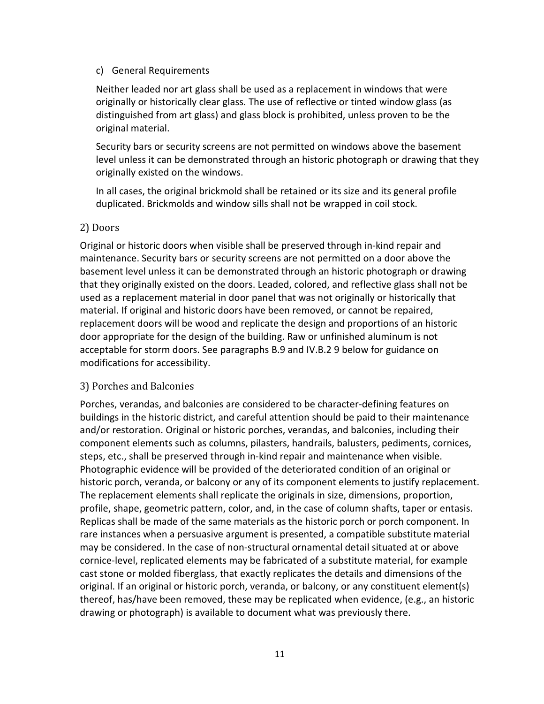#### c) General Requirements

 Neither leaded nor art glass shall be used as a replacement in windows that were originally or historically clear glass. The use of reflective or tinted window glass (as distinguished from art glass) and glass block is prohibited, unless proven to be the original material.

 Security bars or security screens are not permitted on windows above the basement level unless it can be demonstrated through an historic photograph or drawing that they originally existed on the windows.

 In all cases, the original brickmold shall be retained or its size and its general profile duplicated. Brickmolds and window sills shall not be wrapped in coil stock.

#### 2) Doors

Original or historic doors when visible shall be preserved through in-kind repair and maintenance. Security bars or security screens are not permitted on a door above the basement level unless it can be demonstrated through an historic photograph or drawing that they originally existed on the doors. Leaded, colored, and reflective glass shall not be used as a replacement material in door panel that was not originally or historically that material. If original and historic doors have been removed, or cannot be repaired, replacement doors will be wood and replicate the design and proportions of an historic door appropriate for the design of the building. Raw or unfinished aluminum is not acceptable for storm doors. See paragraphs B.9 and IV.B.2 9 below for guidance on modifications for accessibility.

#### 3) Porches and Balconies

Porches, verandas, and balconies are considered to be character-defining features on buildings in the historic district, and careful attention should be paid to their maintenance and/or restoration. Original or historic porches, verandas, and balconies, including their component elements such as columns, pilasters, handrails, balusters, pediments, cornices, steps, etc., shall be preserved through in-kind repair and maintenance when visible. Photographic evidence will be provided of the deteriorated condition of an original or historic porch, veranda, or balcony or any of its component elements to justify replacement. The replacement elements shall replicate the originals in size, dimensions, proportion, profile, shape, geometric pattern, color, and, in the case of column shafts, taper or entasis. Replicas shall be made of the same materials as the historic porch or porch component. In rare instances when a persuasive argument is presented, a compatible substitute material may be considered. In the case of non-structural ornamental detail situated at or above cornice-level, replicated elements may be fabricated of a substitute material, for example cast stone or molded fiberglass, that exactly replicates the details and dimensions of the original. If an original or historic porch, veranda, or balcony, or any constituent element(s) thereof, has/have been removed, these may be replicated when evidence, (e.g., an historic drawing or photograph) is available to document what was previously there.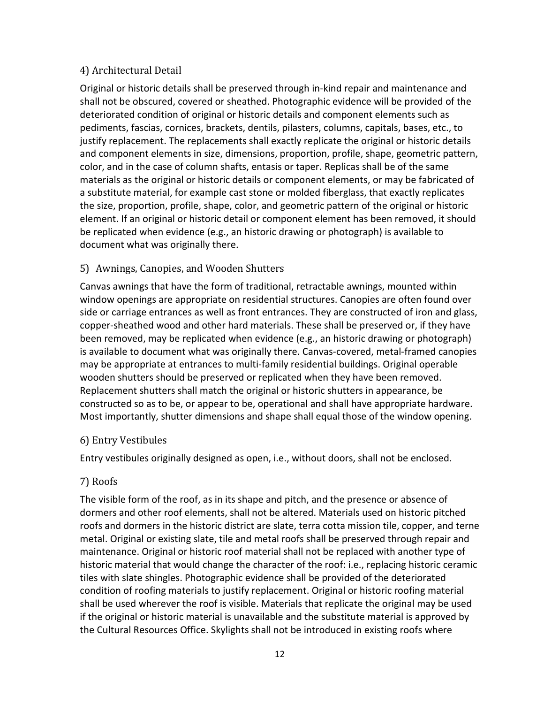### 4) Architectural Detail

Original or historic details shall be preserved through in-kind repair and maintenance and shall not be obscured, covered or sheathed. Photographic evidence will be provided of the deteriorated condition of original or historic details and component elements such as pediments, fascias, cornices, brackets, dentils, pilasters, columns, capitals, bases, etc., to justify replacement. The replacements shall exactly replicate the original or historic details and component elements in size, dimensions, proportion, profile, shape, geometric pattern, color, and in the case of column shafts, entasis or taper. Replicas shall be of the same materials as the original or historic details or component elements, or may be fabricated of a substitute material, for example cast stone or molded fiberglass, that exactly replicates the size, proportion, profile, shape, color, and geometric pattern of the original or historic element. If an original or historic detail or component element has been removed, it should be replicated when evidence (e.g., an historic drawing or photograph) is available to document what was originally there.

# 5) Awnings, Canopies, and Wooden Shutters

Canvas awnings that have the form of traditional, retractable awnings, mounted within window openings are appropriate on residential structures. Canopies are often found over side or carriage entrances as well as front entrances. They are constructed of iron and glass, copper-sheathed wood and other hard materials. These shall be preserved or, if they have been removed, may be replicated when evidence (e.g., an historic drawing or photograph) is available to document what was originally there. Canvas-covered, metal-framed canopies may be appropriate at entrances to multi-family residential buildings. Original operable wooden shutters should be preserved or replicated when they have been removed. Replacement shutters shall match the original or historic shutters in appearance, be constructed so as to be, or appear to be, operational and shall have appropriate hardware. Most importantly, shutter dimensions and shape shall equal those of the window opening.

# 6) Entry Vestibules

Entry vestibules originally designed as open, i.e., without doors, shall not be enclosed.

# 7) Roofs

The visible form of the roof, as in its shape and pitch, and the presence or absence of dormers and other roof elements, shall not be altered. Materials used on historic pitched roofs and dormers in the historic district are slate, terra cotta mission tile, copper, and terne metal. Original or existing slate, tile and metal roofs shall be preserved through repair and maintenance. Original or historic roof material shall not be replaced with another type of historic material that would change the character of the roof: i.e., replacing historic ceramic tiles with slate shingles. Photographic evidence shall be provided of the deteriorated condition of roofing materials to justify replacement. Original or historic roofing material shall be used wherever the roof is visible. Materials that replicate the original may be used if the original or historic material is unavailable and the substitute material is approved by the Cultural Resources Office. Skylights shall not be introduced in existing roofs where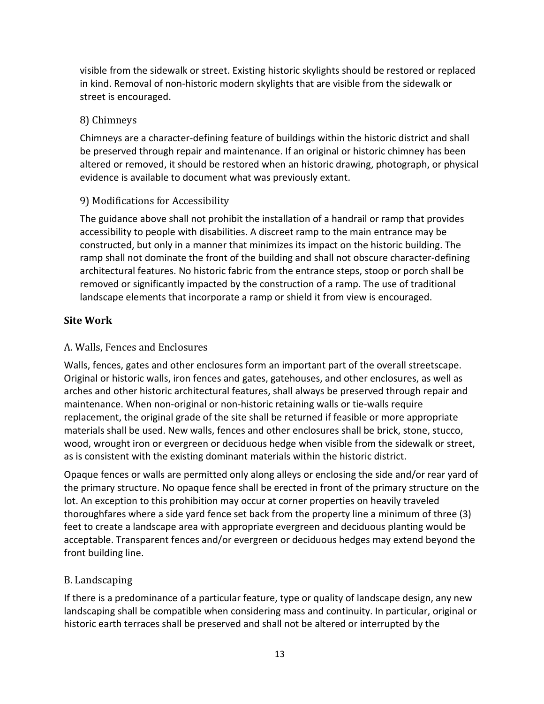visible from the sidewalk or street. Existing historic skylights should be restored or replaced in kind. Removal of non-historic modern skylights that are visible from the sidewalk or street is encouraged.

# 8) Chimneys

Chimneys are a character-defining feature of buildings within the historic district and shall be preserved through repair and maintenance. If an original or historic chimney has been altered or removed, it should be restored when an historic drawing, photograph, or physical evidence is available to document what was previously extant.

# 9) Modifications for Accessibility

The guidance above shall not prohibit the installation of a handrail or ramp that provides accessibility to people with disabilities. A discreet ramp to the main entrance may be constructed, but only in a manner that minimizes its impact on the historic building. The ramp shall not dominate the front of the building and shall not obscure character-defining architectural features. No historic fabric from the entrance steps, stoop or porch shall be removed or significantly impacted by the construction of a ramp. The use of traditional landscape elements that incorporate a ramp or shield it from view is encouraged.

# **Site Work**

# A. Walls, Fences and Enclosures

Walls, fences, gates and other enclosures form an important part of the overall streetscape. Original or historic walls, iron fences and gates, gatehouses, and other enclosures, as well as arches and other historic architectural features, shall always be preserved through repair and maintenance. When non-original or non-historic retaining walls or tie-walls require replacement, the original grade of the site shall be returned if feasible or more appropriate materials shall be used. New walls, fences and other enclosures shall be brick, stone, stucco, wood, wrought iron or evergreen or deciduous hedge when visible from the sidewalk or street, as is consistent with the existing dominant materials within the historic district.

Opaque fences or walls are permitted only along alleys or enclosing the side and/or rear yard of the primary structure. No opaque fence shall be erected in front of the primary structure on the lot. An exception to this prohibition may occur at corner properties on heavily traveled thoroughfares where a side yard fence set back from the property line a minimum of three (3) feet to create a landscape area with appropriate evergreen and deciduous planting would be acceptable. Transparent fences and/or evergreen or deciduous hedges may extend beyond the front building line.

#### B. Landscaping

If there is a predominance of a particular feature, type or quality of landscape design, any new landscaping shall be compatible when considering mass and continuity. In particular, original or historic earth terraces shall be preserved and shall not be altered or interrupted by the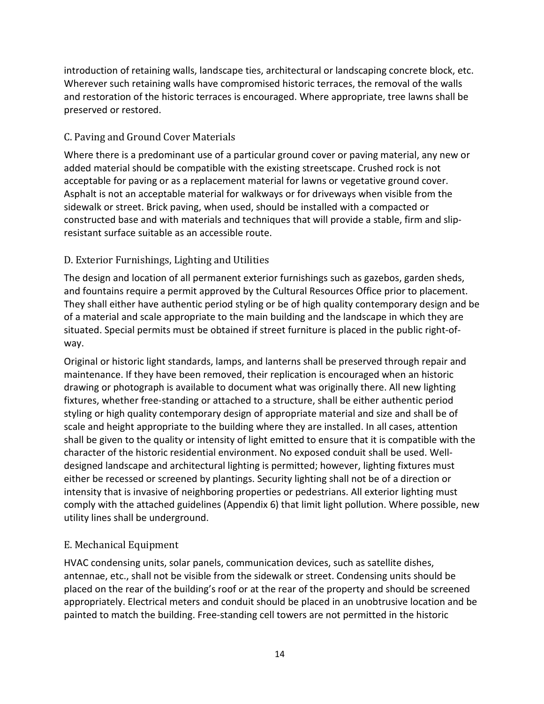introduction of retaining walls, landscape ties, architectural or landscaping concrete block, etc. Wherever such retaining walls have compromised historic terraces, the removal of the walls and restoration of the historic terraces is encouraged. Where appropriate, tree lawns shall be preserved or restored.

# C. Paving and Ground Cover Materials

Where there is a predominant use of a particular ground cover or paving material, any new or added material should be compatible with the existing streetscape. Crushed rock is not acceptable for paving or as a replacement material for lawns or vegetative ground cover. Asphalt is not an acceptable material for walkways or for driveways when visible from the sidewalk or street. Brick paving, when used, should be installed with a compacted or constructed base and with materials and techniques that will provide a stable, firm and slipresistant surface suitable as an accessible route.

# D. Exterior Furnishings, Lighting and Utilities

The design and location of all permanent exterior furnishings such as gazebos, garden sheds, and fountains require a permit approved by the Cultural Resources Office prior to placement. They shall either have authentic period styling or be of high quality contemporary design and be of a material and scale appropriate to the main building and the landscape in which they are situated. Special permits must be obtained if street furniture is placed in the public right-ofway.

Original or historic light standards, lamps, and lanterns shall be preserved through repair and maintenance. If they have been removed, their replication is encouraged when an historic drawing or photograph is available to document what was originally there. All new lighting fixtures, whether free-standing or attached to a structure, shall be either authentic period styling or high quality contemporary design of appropriate material and size and shall be of scale and height appropriate to the building where they are installed. In all cases, attention shall be given to the quality or intensity of light emitted to ensure that it is compatible with the character of the historic residential environment. No exposed conduit shall be used. Welldesigned landscape and architectural lighting is permitted; however, lighting fixtures must either be recessed or screened by plantings. Security lighting shall not be of a direction or intensity that is invasive of neighboring properties or pedestrians. All exterior lighting must comply with the attached guidelines (Appendix 6) that limit light pollution. Where possible, new utility lines shall be underground.

# E. Mechanical Equipment

HVAC condensing units, solar panels, communication devices, such as satellite dishes, antennae, etc., shall not be visible from the sidewalk or street. Condensing units should be placed on the rear of the building's roof or at the rear of the property and should be screened appropriately. Electrical meters and conduit should be placed in an unobtrusive location and be painted to match the building. Free-standing cell towers are not permitted in the historic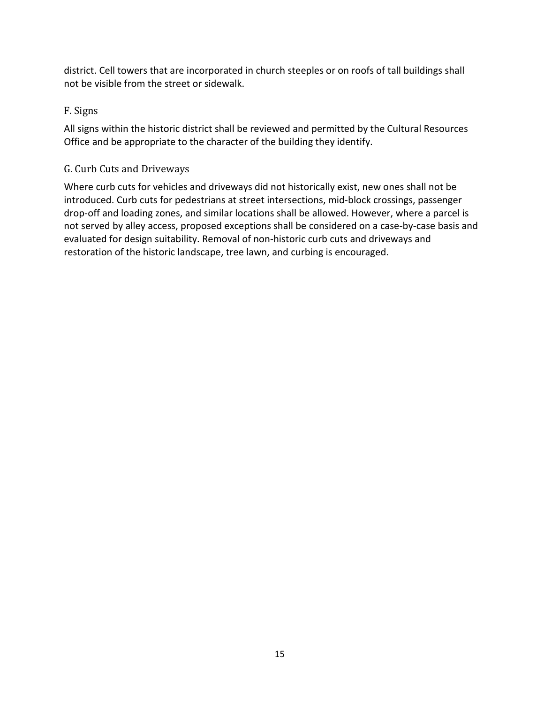district. Cell towers that are incorporated in church steeples or on roofs of tall buildings shall not be visible from the street or sidewalk.

# F. Signs

All signs within the historic district shall be reviewed and permitted by the Cultural Resources Office and be appropriate to the character of the building they identify.

# G. Curb Cuts and Driveways

Where curb cuts for vehicles and driveways did not historically exist, new ones shall not be introduced. Curb cuts for pedestrians at street intersections, mid-block crossings, passenger drop-off and loading zones, and similar locations shall be allowed. However, where a parcel is not served by alley access, proposed exceptions shall be considered on a case-by-case basis and evaluated for design suitability. Removal of non-historic curb cuts and driveways and restoration of the historic landscape, tree lawn, and curbing is encouraged.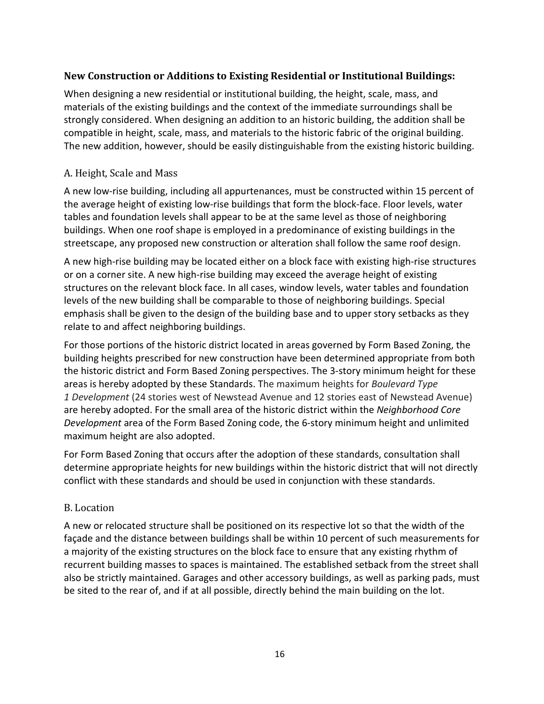### **New Construction or Additions to Existing Residential or Institutional Buildings:**

When designing a new residential or institutional building, the height, scale, mass, and materials of the existing buildings and the context of the immediate surroundings shall be strongly considered. When designing an addition to an historic building, the addition shall be compatible in height, scale, mass, and materials to the historic fabric of the original building. The new addition, however, should be easily distinguishable from the existing historic building.

#### A. Height, Scale and Mass

A new low-rise building, including all appurtenances, must be constructed within 15 percent of the average height of existing low-rise buildings that form the block-face. Floor levels, water tables and foundation levels shall appear to be at the same level as those of neighboring buildings. When one roof shape is employed in a predominance of existing buildings in the streetscape, any proposed new construction or alteration shall follow the same roof design.

A new high-rise building may be located either on a block face with existing high-rise structures or on a corner site. A new high-rise building may exceed the average height of existing structures on the relevant block face. In all cases, window levels, water tables and foundation levels of the new building shall be comparable to those of neighboring buildings. Special emphasis shall be given to the design of the building base and to upper story setbacks as they relate to and affect neighboring buildings.

For those portions of the historic district located in areas governed by Form Based Zoning, the building heights prescribed for new construction have been determined appropriate from both the historic district and Form Based Zoning perspectives. The 3-story minimum height for these areas is hereby adopted by these Standards. The maximum heights for *Boulevard Type 1 Development* (24 stories west of Newstead Avenue and 12 stories east of Newstead Avenue) are hereby adopted. For the small area of the historic district within the *Neighborhood Core Development* area of the Form Based Zoning code, the 6-story minimum height and unlimited maximum height are also adopted.

For Form Based Zoning that occurs after the adoption of these standards, consultation shall determine appropriate heights for new buildings within the historic district that will not directly conflict with these standards and should be used in conjunction with these standards.

#### B. Location

A new or relocated structure shall be positioned on its respective lot so that the width of the façade and the distance between buildings shall be within 10 percent of such measurements for a majority of the existing structures on the block face to ensure that any existing rhythm of recurrent building masses to spaces is maintained. The established setback from the street shall also be strictly maintained. Garages and other accessory buildings, as well as parking pads, must be sited to the rear of, and if at all possible, directly behind the main building on the lot.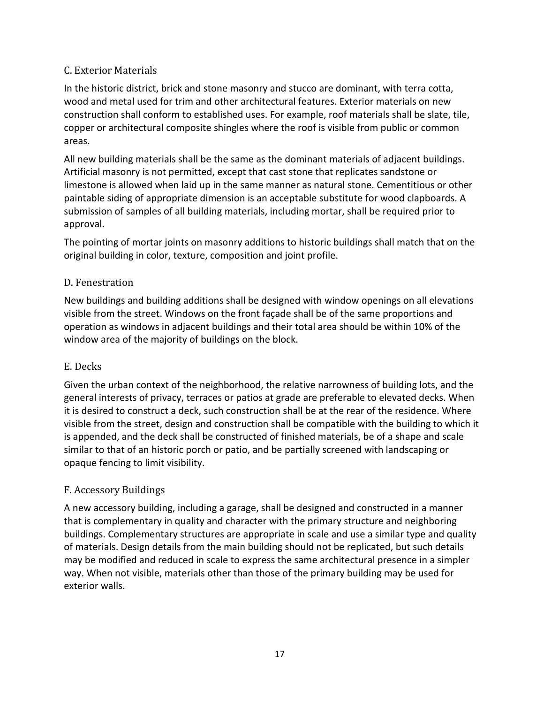# C. Exterior Materials

In the historic district, brick and stone masonry and stucco are dominant, with terra cotta, wood and metal used for trim and other architectural features. Exterior materials on new construction shall conform to established uses. For example, roof materials shall be slate, tile, copper or architectural composite shingles where the roof is visible from public or common areas.

All new building materials shall be the same as the dominant materials of adjacent buildings. Artificial masonry is not permitted, except that cast stone that replicates sandstone or limestone is allowed when laid up in the same manner as natural stone. Cementitious or other paintable siding of appropriate dimension is an acceptable substitute for wood clapboards. A submission of samples of all building materials, including mortar, shall be required prior to approval.

The pointing of mortar joints on masonry additions to historic buildings shall match that on the original building in color, texture, composition and joint profile.

# D. Fenestration

New buildings and building additions shall be designed with window openings on all elevations visible from the street. Windows on the front façade shall be of the same proportions and operation as windows in adjacent buildings and their total area should be within 10% of the window area of the majority of buildings on the block.

#### E. Decks

Given the urban context of the neighborhood, the relative narrowness of building lots, and the general interests of privacy, terraces or patios at grade are preferable to elevated decks. When it is desired to construct a deck, such construction shall be at the rear of the residence. Where visible from the street, design and construction shall be compatible with the building to which it is appended, and the deck shall be constructed of finished materials, be of a shape and scale similar to that of an historic porch or patio, and be partially screened with landscaping or opaque fencing to limit visibility.

# F. Accessory Buildings

A new accessory building, including a garage, shall be designed and constructed in a manner that is complementary in quality and character with the primary structure and neighboring buildings. Complementary structures are appropriate in scale and use a similar type and quality of materials. Design details from the main building should not be replicated, but such details may be modified and reduced in scale to express the same architectural presence in a simpler way. When not visible, materials other than those of the primary building may be used for exterior walls.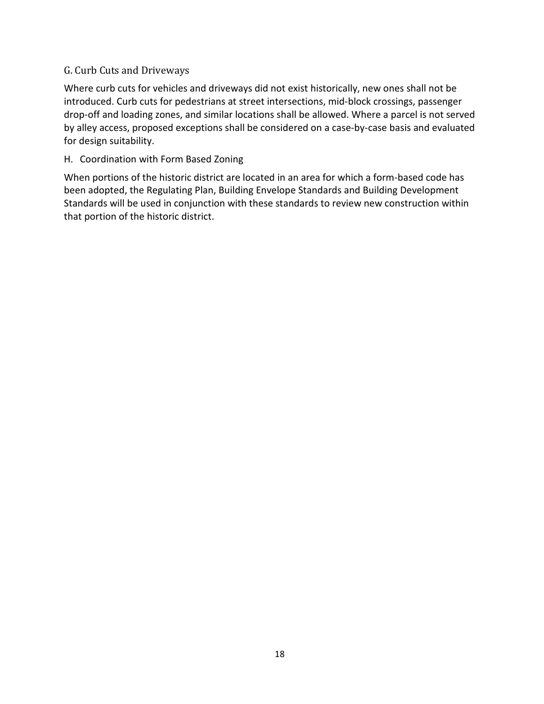#### G. Curb Cuts and Driveways

Where curb cuts for vehicles and driveways did not exist historically, new ones shall not be introduced. Curb cuts for pedestrians at street intersections, mid-block crossings, passenger drop-off and loading zones, and similar locations shall be allowed. Where a parcel is not served by alley access, proposed exceptions shall be considered on a case-by-case basis and evaluated for design suitability.

### H. Coordination with Form Based Zoning

When portions of the historic district are located in an area for which a form-based code has been adopted, the Regulating Plan, Building Envelope Standards and Building Development Standards will be used in conjunction with these standards to review new construction within that portion of the historic district.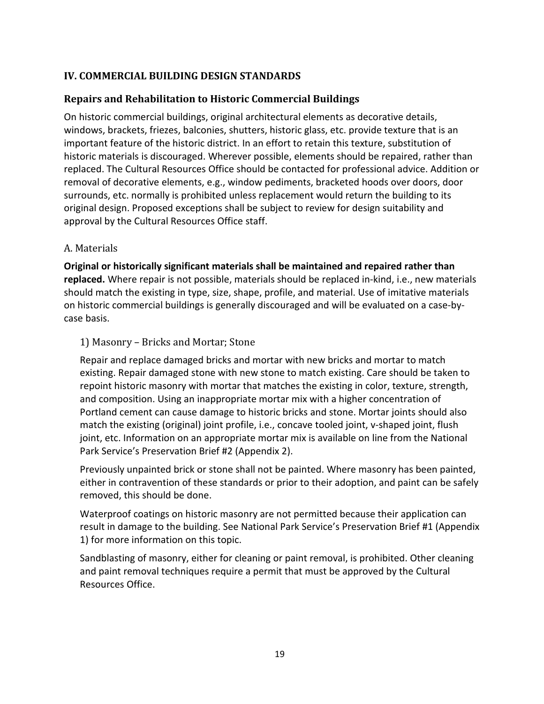# **IV. COMMERCIAL BUILDING DESIGN STANDARDS**

#### **Repairs and Rehabilitation to Historic Commercial Buildings**

On historic commercial buildings, original architectural elements as decorative details, windows, brackets, friezes, balconies, shutters, historic glass, etc. provide texture that is an important feature of the historic district. In an effort to retain this texture, substitution of historic materials is discouraged. Wherever possible, elements should be repaired, rather than replaced. The Cultural Resources Office should be contacted for professional advice. Addition or removal of decorative elements, e.g., window pediments, bracketed hoods over doors, door surrounds, etc. normally is prohibited unless replacement would return the building to its original design. Proposed exceptions shall be subject to review for design suitability and approval by the Cultural Resources Office staff.

#### A. Materials

**Original or historically significant materials shall be maintained and repaired rather than replaced.** Where repair is not possible, materials should be replaced in-kind, i.e., new materials should match the existing in type, size, shape, profile, and material. Use of imitative materials on historic commercial buildings is generally discouraged and will be evaluated on a case-bycase basis.

#### 1) Masonry – Bricks and Mortar; Stone

Repair and replace damaged bricks and mortar with new bricks and mortar to match existing. Repair damaged stone with new stone to match existing. Care should be taken to repoint historic masonry with mortar that matches the existing in color, texture, strength, and composition. Using an inappropriate mortar mix with a higher concentration of Portland cement can cause damage to historic bricks and stone. Mortar joints should also match the existing (original) joint profile, i.e., concave tooled joint, v-shaped joint, flush joint, etc. Information on an appropriate mortar mix is available on line from the National Park Service's Preservation Brief #2 (Appendix 2).

Previously unpainted brick or stone shall not be painted. Where masonry has been painted, either in contravention of these standards or prior to their adoption, and paint can be safely removed, this should be done.

Waterproof coatings on historic masonry are not permitted because their application can result in damage to the building. See National Park Service's Preservation Brief #1 (Appendix 1) for more information on this topic.

Sandblasting of masonry, either for cleaning or paint removal, is prohibited. Other cleaning and paint removal techniques require a permit that must be approved by the Cultural Resources Office.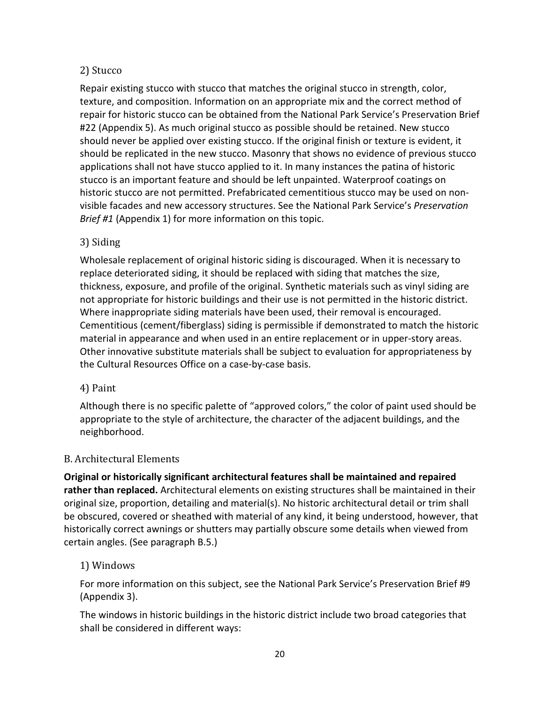# 2) Stucco

Repair existing stucco with stucco that matches the original stucco in strength, color, texture, and composition. Information on an appropriate mix and the correct method of repair for historic stucco can be obtained from the National Park Service's Preservation Brief #22 (Appendix 5). As much original stucco as possible should be retained. New stucco should never be applied over existing stucco. If the original finish or texture is evident, it should be replicated in the new stucco. Masonry that shows no evidence of previous stucco applications shall not have stucco applied to it. In many instances the patina of historic stucco is an important feature and should be left unpainted. Waterproof coatings on historic stucco are not permitted. Prefabricated cementitious stucco may be used on nonvisible facades and new accessory structures. See the National Park Service's *Preservation Brief #1* (Appendix 1) for more information on this topic.

# 3) Siding

Wholesale replacement of original historic siding is discouraged. When it is necessary to replace deteriorated siding, it should be replaced with siding that matches the size, thickness, exposure, and profile of the original. Synthetic materials such as vinyl siding are not appropriate for historic buildings and their use is not permitted in the historic district. Where inappropriate siding materials have been used, their removal is encouraged. Cementitious (cement/fiberglass) siding is permissible if demonstrated to match the historic material in appearance and when used in an entire replacement or in upper-story areas. Other innovative substitute materials shall be subject to evaluation for appropriateness by the Cultural Resources Office on a case-by-case basis.

#### 4) Paint

Although there is no specific palette of "approved colors," the color of paint used should be appropriate to the style of architecture, the character of the adjacent buildings, and the neighborhood.

#### B. Architectural Elements

**Original or historically significant architectural features shall be maintained and repaired rather than replaced.** Architectural elements on existing structures shall be maintained in their original size, proportion, detailing and material(s). No historic architectural detail or trim shall be obscured, covered or sheathed with material of any kind, it being understood, however, that historically correct awnings or shutters may partially obscure some details when viewed from certain angles. (See paragraph B.5.)

#### 1) Windows

For more information on this subject, see the National Park Service's Preservation Brief #9 (Appendix 3).

The windows in historic buildings in the historic district include two broad categories that shall be considered in different ways: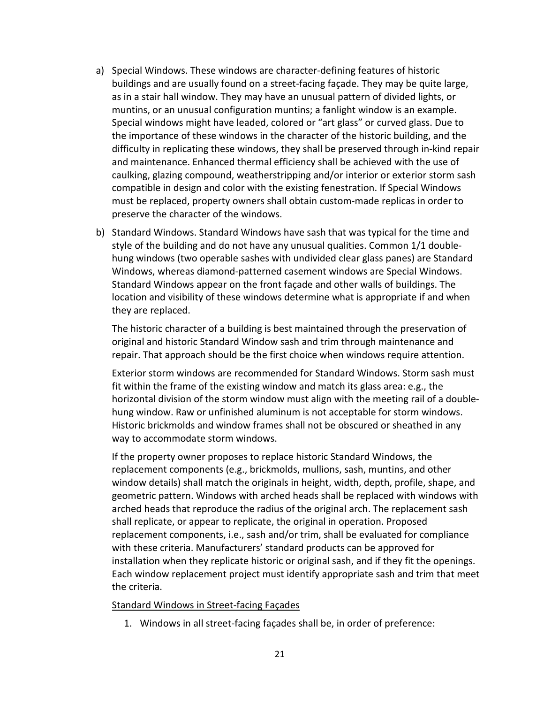- a) Special Windows. These windows are character-defining features of historic buildings and are usually found on a street-facing façade. They may be quite large, as in a stair hall window. They may have an unusual pattern of divided lights, or muntins, or an unusual configuration muntins; a fanlight window is an example. Special windows might have leaded, colored or "art glass" or curved glass. Due to the importance of these windows in the character of the historic building, and the difficulty in replicating these windows, they shall be preserved through in-kind repair and maintenance. Enhanced thermal efficiency shall be achieved with the use of caulking, glazing compound, weatherstripping and/or interior or exterior storm sash compatible in design and color with the existing fenestration. If Special Windows must be replaced, property owners shall obtain custom-made replicas in order to preserve the character of the windows.
- b) Standard Windows. Standard Windows have sash that was typical for the time and style of the building and do not have any unusual qualities. Common 1/1 doublehung windows (two operable sashes with undivided clear glass panes) are Standard Windows, whereas diamond-patterned casement windows are Special Windows. Standard Windows appear on the front façade and other walls of buildings. The location and visibility of these windows determine what is appropriate if and when they are replaced.

The historic character of a building is best maintained through the preservation of original and historic Standard Window sash and trim through maintenance and repair. That approach should be the first choice when windows require attention.

Exterior storm windows are recommended for Standard Windows. Storm sash must fit within the frame of the existing window and match its glass area: e.g., the horizontal division of the storm window must align with the meeting rail of a doublehung window. Raw or unfinished aluminum is not acceptable for storm windows. Historic brickmolds and window frames shall not be obscured or sheathed in any way to accommodate storm windows.

If the property owner proposes to replace historic Standard Windows, the replacement components (e.g., brickmolds, mullions, sash, muntins, and other window details) shall match the originals in height, width, depth, profile, shape, and geometric pattern. Windows with arched heads shall be replaced with windows with arched heads that reproduce the radius of the original arch. The replacement sash shall replicate, or appear to replicate, the original in operation. Proposed replacement components, i.e., sash and/or trim, shall be evaluated for compliance with these criteria. Manufacturers' standard products can be approved for installation when they replicate historic or original sash, and if they fit the openings. Each window replacement project must identify appropriate sash and trim that meet the criteria.

#### Standard Windows in Street-facing Façades

1. Windows in all street-facing façades shall be, in order of preference: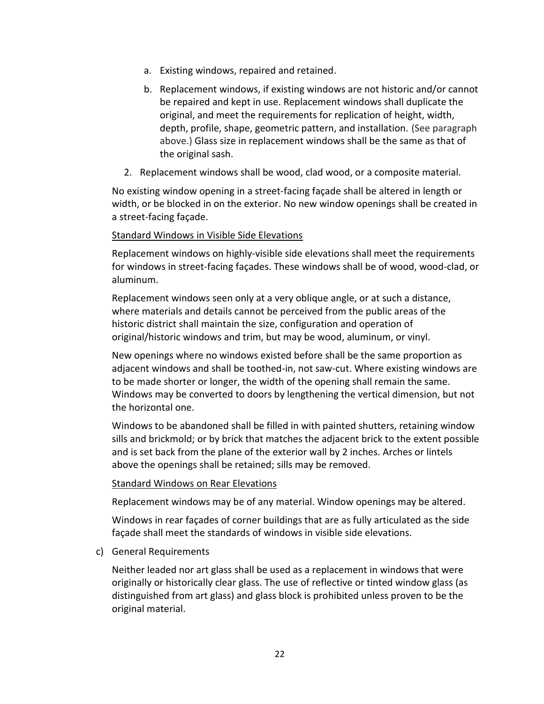- a. Existing windows, repaired and retained.
- b. Replacement windows, if existing windows are not historic and/or cannot be repaired and kept in use. Replacement windows shall duplicate the original, and meet the requirements for replication of height, width, depth, profile, shape, geometric pattern, and installation. (See paragraph above.) Glass size in replacement windows shall be the same as that of the original sash.
- 2. Replacement windows shall be wood, clad wood, or a composite material.

No existing window opening in a street-facing façade shall be altered in length or width, or be blocked in on the exterior. No new window openings shall be created in a street-facing façade.

#### Standard Windows in Visible Side Elevations

Replacement windows on highly-visible side elevations shall meet the requirements for windows in street-facing façades. These windows shall be of wood, wood-clad, or aluminum.

Replacement windows seen only at a very oblique angle, or at such a distance, where materials and details cannot be perceived from the public areas of the historic district shall maintain the size, configuration and operation of original/historic windows and trim, but may be wood, aluminum, or vinyl.

New openings where no windows existed before shall be the same proportion as adjacent windows and shall be toothed-in, not saw-cut. Where existing windows are to be made shorter or longer, the width of the opening shall remain the same. Windows may be converted to doors by lengthening the vertical dimension, but not the horizontal one.

Windows to be abandoned shall be filled in with painted shutters, retaining window sills and brickmold; or by brick that matches the adjacent brick to the extent possible and is set back from the plane of the exterior wall by 2 inches. Arches or lintels above the openings shall be retained; sills may be removed.

#### Standard Windows on Rear Elevations

Replacement windows may be of any material. Window openings may be altered.

Windows in rear façades of corner buildings that are as fully articulated as the side façade shall meet the standards of windows in visible side elevations.

c) General Requirements

Neither leaded nor art glass shall be used as a replacement in windows that were originally or historically clear glass. The use of reflective or tinted window glass (as distinguished from art glass) and glass block is prohibited unless proven to be the original material.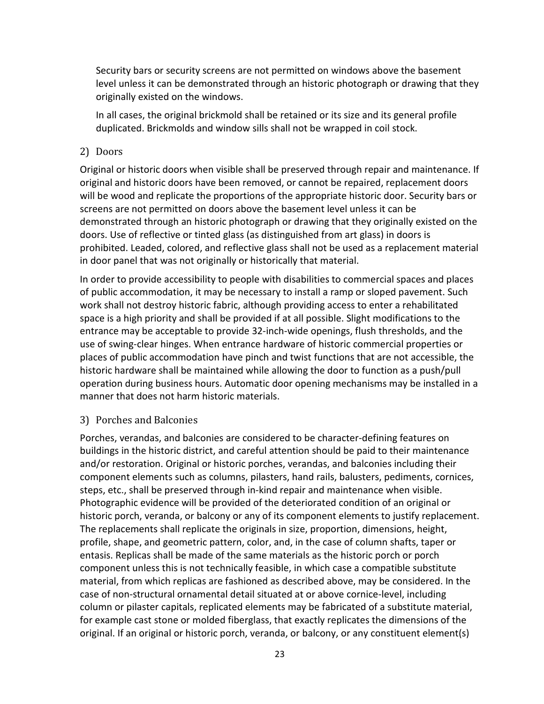Security bars or security screens are not permitted on windows above the basement level unless it can be demonstrated through an historic photograph or drawing that they originally existed on the windows.

In all cases, the original brickmold shall be retained or its size and its general profile duplicated. Brickmolds and window sills shall not be wrapped in coil stock.

#### 2) Doors

Original or historic doors when visible shall be preserved through repair and maintenance. If original and historic doors have been removed, or cannot be repaired, replacement doors will be wood and replicate the proportions of the appropriate historic door. Security bars or screens are not permitted on doors above the basement level unless it can be demonstrated through an historic photograph or drawing that they originally existed on the doors. Use of reflective or tinted glass (as distinguished from art glass) in doors is prohibited. Leaded, colored, and reflective glass shall not be used as a replacement material in door panel that was not originally or historically that material.

In order to provide accessibility to people with disabilities to commercial spaces and places of public accommodation, it may be necessary to install a ramp or sloped pavement. Such work shall not destroy historic fabric, although providing access to enter a rehabilitated space is a high priority and shall be provided if at all possible. Slight modifications to the entrance may be acceptable to provide 32-inch-wide openings, flush thresholds, and the use of swing-clear hinges. When entrance hardware of historic commercial properties or places of public accommodation have pinch and twist functions that are not accessible, the historic hardware shall be maintained while allowing the door to function as a push/pull operation during business hours. Automatic door opening mechanisms may be installed in a manner that does not harm historic materials.

#### 3) Porches and Balconies

Porches, verandas, and balconies are considered to be character-defining features on buildings in the historic district, and careful attention should be paid to their maintenance and/or restoration. Original or historic porches, verandas, and balconies including their component elements such as columns, pilasters, hand rails, balusters, pediments, cornices, steps, etc., shall be preserved through in-kind repair and maintenance when visible. Photographic evidence will be provided of the deteriorated condition of an original or historic porch, veranda, or balcony or any of its component elements to justify replacement. The replacements shall replicate the originals in size, proportion, dimensions, height, profile, shape, and geometric pattern, color, and, in the case of column shafts, taper or entasis. Replicas shall be made of the same materials as the historic porch or porch component unless this is not technically feasible, in which case a compatible substitute material, from which replicas are fashioned as described above, may be considered. In the case of non-structural ornamental detail situated at or above cornice-level, including column or pilaster capitals, replicated elements may be fabricated of a substitute material, for example cast stone or molded fiberglass, that exactly replicates the dimensions of the original. If an original or historic porch, veranda, or balcony, or any constituent element(s)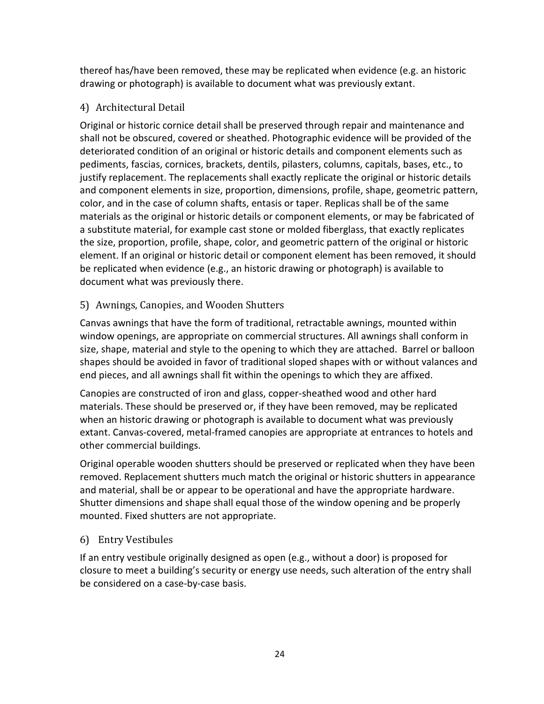thereof has/have been removed, these may be replicated when evidence (e.g. an historic drawing or photograph) is available to document what was previously extant.

# 4) Architectural Detail

Original or historic cornice detail shall be preserved through repair and maintenance and shall not be obscured, covered or sheathed. Photographic evidence will be provided of the deteriorated condition of an original or historic details and component elements such as pediments, fascias, cornices, brackets, dentils, pilasters, columns, capitals, bases, etc., to justify replacement. The replacements shall exactly replicate the original or historic details and component elements in size, proportion, dimensions, profile, shape, geometric pattern, color, and in the case of column shafts, entasis or taper. Replicas shall be of the same materials as the original or historic details or component elements, or may be fabricated of a substitute material, for example cast stone or molded fiberglass, that exactly replicates the size, proportion, profile, shape, color, and geometric pattern of the original or historic element. If an original or historic detail or component element has been removed, it should be replicated when evidence (e.g., an historic drawing or photograph) is available to document what was previously there.

# 5) Awnings, Canopies, and Wooden Shutters

Canvas awnings that have the form of traditional, retractable awnings, mounted within window openings, are appropriate on commercial structures. All awnings shall conform in size, shape, material and style to the opening to which they are attached. Barrel or balloon shapes should be avoided in favor of traditional sloped shapes with or without valances and end pieces, and all awnings shall fit within the openings to which they are affixed.

Canopies are constructed of iron and glass, copper-sheathed wood and other hard materials. These should be preserved or, if they have been removed, may be replicated when an historic drawing or photograph is available to document what was previously extant. Canvas-covered, metal-framed canopies are appropriate at entrances to hotels and other commercial buildings.

Original operable wooden shutters should be preserved or replicated when they have been removed. Replacement shutters much match the original or historic shutters in appearance and material, shall be or appear to be operational and have the appropriate hardware. Shutter dimensions and shape shall equal those of the window opening and be properly mounted. Fixed shutters are not appropriate.

# 6) Entry Vestibules

If an entry vestibule originally designed as open (e.g., without a door) is proposed for closure to meet a building's security or energy use needs, such alteration of the entry shall be considered on a case-by-case basis.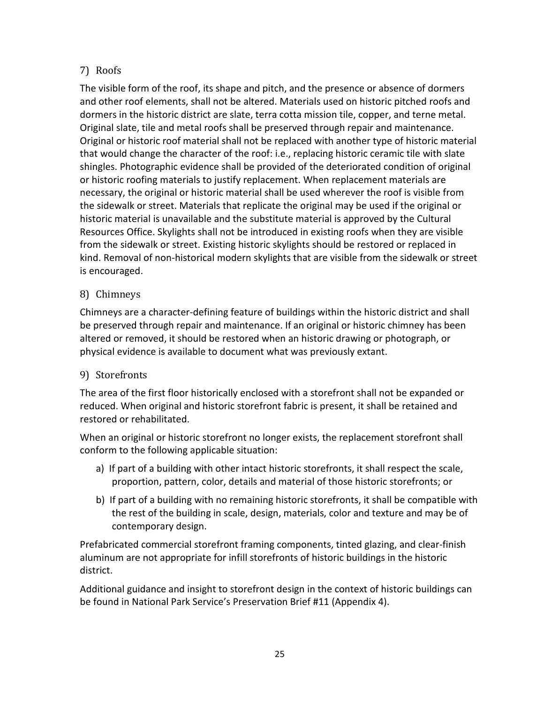# 7) Roofs

The visible form of the roof, its shape and pitch, and the presence or absence of dormers and other roof elements, shall not be altered. Materials used on historic pitched roofs and dormers in the historic district are slate, terra cotta mission tile, copper, and terne metal. Original slate, tile and metal roofs shall be preserved through repair and maintenance. Original or historic roof material shall not be replaced with another type of historic material that would change the character of the roof: i.e., replacing historic ceramic tile with slate shingles. Photographic evidence shall be provided of the deteriorated condition of original or historic roofing materials to justify replacement. When replacement materials are necessary, the original or historic material shall be used wherever the roof is visible from the sidewalk or street. Materials that replicate the original may be used if the original or historic material is unavailable and the substitute material is approved by the Cultural Resources Office. Skylights shall not be introduced in existing roofs when they are visible from the sidewalk or street. Existing historic skylights should be restored or replaced in kind. Removal of non-historical modern skylights that are visible from the sidewalk or street is encouraged.

# 8) Chimneys

Chimneys are a character-defining feature of buildings within the historic district and shall be preserved through repair and maintenance. If an original or historic chimney has been altered or removed, it should be restored when an historic drawing or photograph, or physical evidence is available to document what was previously extant.

# 9) Storefronts

The area of the first floor historically enclosed with a storefront shall not be expanded or reduced. When original and historic storefront fabric is present, it shall be retained and restored or rehabilitated.

When an original or historic storefront no longer exists, the replacement storefront shall conform to the following applicable situation:

- a) If part of a building with other intact historic storefronts, it shall respect the scale, proportion, pattern, color, details and material of those historic storefronts; or
- b) If part of a building with no remaining historic storefronts, it shall be compatible with the rest of the building in scale, design, materials, color and texture and may be of contemporary design.

Prefabricated commercial storefront framing components, tinted glazing, and clear-finish aluminum are not appropriate for infill storefronts of historic buildings in the historic district.

Additional guidance and insight to storefront design in the context of historic buildings can be found in National Park Service's Preservation Brief #11 (Appendix 4).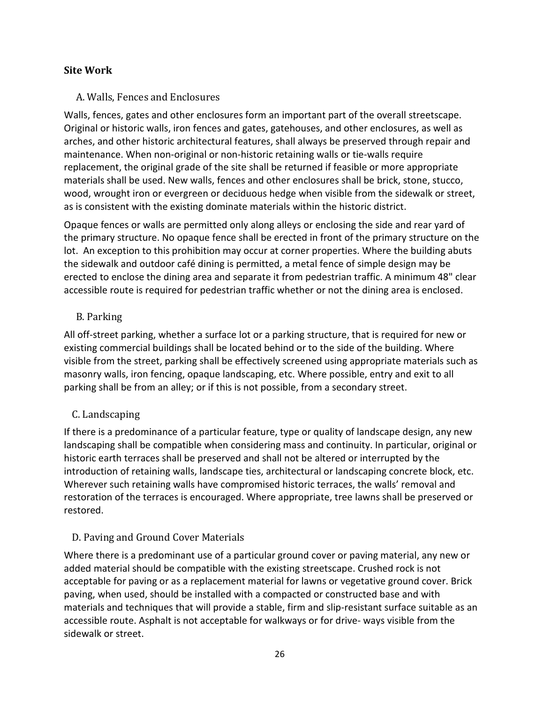# **Site Work**

### A. Walls, Fences and Enclosures

Walls, fences, gates and other enclosures form an important part of the overall streetscape. Original or historic walls, iron fences and gates, gatehouses, and other enclosures, as well as arches, and other historic architectural features, shall always be preserved through repair and maintenance. When non-original or non-historic retaining walls or tie-walls require replacement, the original grade of the site shall be returned if feasible or more appropriate materials shall be used. New walls, fences and other enclosures shall be brick, stone, stucco, wood, wrought iron or evergreen or deciduous hedge when visible from the sidewalk or street, as is consistent with the existing dominate materials within the historic district.

Opaque fences or walls are permitted only along alleys or enclosing the side and rear yard of the primary structure. No opaque fence shall be erected in front of the primary structure on the lot. An exception to this prohibition may occur at corner properties. Where the building abuts the sidewalk and outdoor café dining is permitted, a metal fence of simple design may be erected to enclose the dining area and separate it from pedestrian traffic. A minimum 48" clear accessible route is required for pedestrian traffic whether or not the dining area is enclosed.

# B. Parking

All off-street parking, whether a surface lot or a parking structure, that is required for new or existing commercial buildings shall be located behind or to the side of the building. Where visible from the street, parking shall be effectively screened using appropriate materials such as masonry walls, iron fencing, opaque landscaping, etc. Where possible, entry and exit to all parking shall be from an alley; or if this is not possible, from a secondary street.

# C. Landscaping

If there is a predominance of a particular feature, type or quality of landscape design, any new landscaping shall be compatible when considering mass and continuity. In particular, original or historic earth terraces shall be preserved and shall not be altered or interrupted by the introduction of retaining walls, landscape ties, architectural or landscaping concrete block, etc. Wherever such retaining walls have compromised historic terraces, the walls' removal and restoration of the terraces is encouraged. Where appropriate, tree lawns shall be preserved or restored.

# D. Paving and Ground Cover Materials

Where there is a predominant use of a particular ground cover or paving material, any new or added material should be compatible with the existing streetscape. Crushed rock is not acceptable for paving or as a replacement material for lawns or vegetative ground cover. Brick paving, when used, should be installed with a compacted or constructed base and with materials and techniques that will provide a stable, firm and slip-resistant surface suitable as an accessible route. Asphalt is not acceptable for walkways or for drive- ways visible from the sidewalk or street.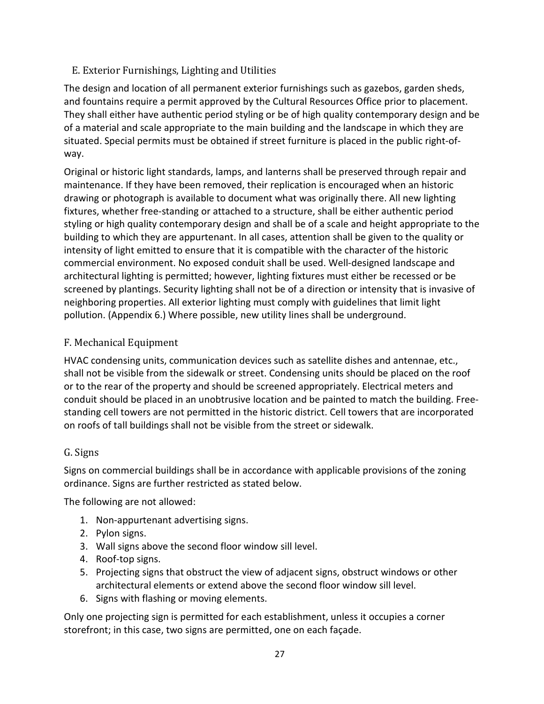# E. Exterior Furnishings, Lighting and Utilities

The design and location of all permanent exterior furnishings such as gazebos, garden sheds, and fountains require a permit approved by the Cultural Resources Office prior to placement. They shall either have authentic period styling or be of high quality contemporary design and be of a material and scale appropriate to the main building and the landscape in which they are situated. Special permits must be obtained if street furniture is placed in the public right-ofway.

Original or historic light standards, lamps, and lanterns shall be preserved through repair and maintenance. If they have been removed, their replication is encouraged when an historic drawing or photograph is available to document what was originally there. All new lighting fixtures, whether free-standing or attached to a structure, shall be either authentic period styling or high quality contemporary design and shall be of a scale and height appropriate to the building to which they are appurtenant. In all cases, attention shall be given to the quality or intensity of light emitted to ensure that it is compatible with the character of the historic commercial environment. No exposed conduit shall be used. Well-designed landscape and architectural lighting is permitted; however, lighting fixtures must either be recessed or be screened by plantings. Security lighting shall not be of a direction or intensity that is invasive of neighboring properties. All exterior lighting must comply with guidelines that limit light pollution. (Appendix 6.) Where possible, new utility lines shall be underground.

# F. Mechanical Equipment

HVAC condensing units, communication devices such as satellite dishes and antennae, etc., shall not be visible from the sidewalk or street. Condensing units should be placed on the roof or to the rear of the property and should be screened appropriately. Electrical meters and conduit should be placed in an unobtrusive location and be painted to match the building. Freestanding cell towers are not permitted in the historic district. Cell towers that are incorporated on roofs of tall buildings shall not be visible from the street or sidewalk.

# G. Signs

Signs on commercial buildings shall be in accordance with applicable provisions of the zoning ordinance. Signs are further restricted as stated below.

The following are not allowed:

- 1. Non-appurtenant advertising signs.
- 2. Pylon signs.
- 3. Wall signs above the second floor window sill level.
- 4. Roof-top signs.
- 5. Projecting signs that obstruct the view of adjacent signs, obstruct windows or other architectural elements or extend above the second floor window sill level.
- 6. Signs with flashing or moving elements.

Only one projecting sign is permitted for each establishment, unless it occupies a corner storefront; in this case, two signs are permitted, one on each façade.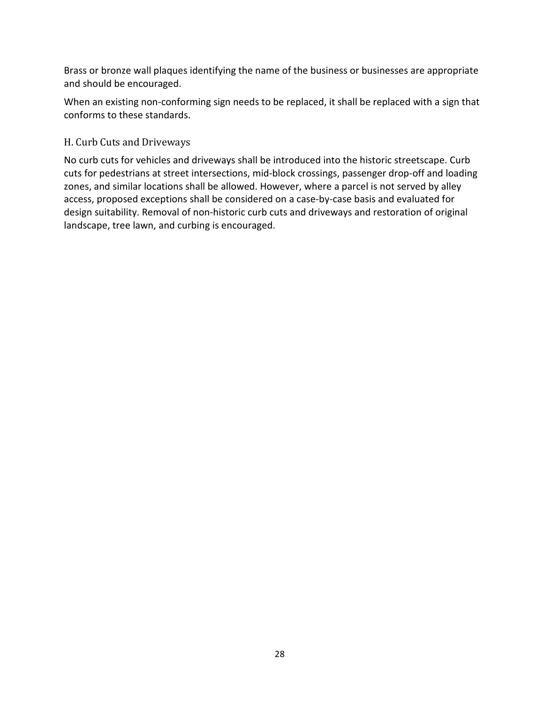Brass or bronze wall plaques identifying the name of the business or businesses are appropriate and should be encouraged.

When an existing non-conforming sign needs to be replaced, it shall be replaced with a sign that conforms to these standards.

# H. Curb Cuts and Driveways

No curb cuts for vehicles and driveways shall be introduced into the historic streetscape. Curb cuts for pedestrians at street intersections, mid-block crossings, passenger drop-off and loading zones, and similar locations shall be allowed. However, where a parcel is not served by alley access, proposed exceptions shall be considered on a case-by-case basis and evaluated for design suitability. Removal of non-historic curb cuts and driveways and restoration of original landscape, tree lawn, and curbing is encouraged.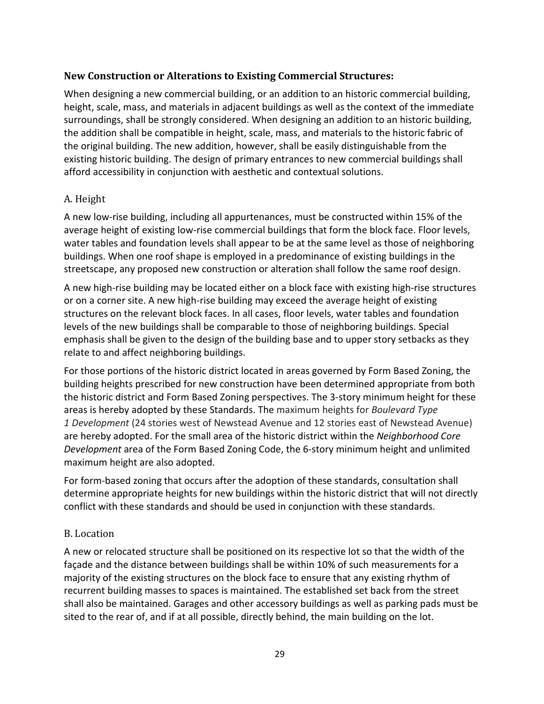#### **New Construction or Alterations to Existing Commercial Structures:**

When designing a new commercial building, or an addition to an historic commercial building, height, scale, mass, and materials in adjacent buildings as well as the context of the immediate surroundings, shall be strongly considered. When designing an addition to an historic building, the addition shall be compatible in height, scale, mass, and materials to the historic fabric of the original building. The new addition, however, shall be easily distinguishable from the existing historic building. The design of primary entrances to new commercial buildings shall afford accessibility in conjunction with aesthetic and contextual solutions.

#### A. Height

A new low-rise building, including all appurtenances, must be constructed within 15% of the average height of existing low-rise commercial buildings that form the block face. Floor levels, water tables and foundation levels shall appear to be at the same level as those of neighboring buildings. When one roof shape is employed in a predominance of existing buildings in the streetscape, any proposed new construction or alteration shall follow the same roof design.

A new high-rise building may be located either on a block face with existing high-rise structures or on a corner site. A new high-rise building may exceed the average height of existing structures on the relevant block faces. In all cases, floor levels, water tables and foundation levels of the new buildings shall be comparable to those of neighboring buildings. Special emphasis shall be given to the design of the building base and to upper story setbacks as they relate to and affect neighboring buildings.

For those portions of the historic district located in areas governed by Form Based Zoning, the building heights prescribed for new construction have been determined appropriate from both the historic district and Form Based Zoning perspectives. The 3-story minimum height for these areas is hereby adopted by these Standards. The maximum heights for *Boulevard Type 1 Development* (24 stories west of Newstead Avenue and 12 stories east of Newstead Avenue) are hereby adopted. For the small area of the historic district within the *Neighborhood Core Development* area of the Form Based Zoning Code, the 6-story minimum height and unlimited maximum height are also adopted.

For form-based zoning that occurs after the adoption of these standards, consultation shall determine appropriate heights for new buildings within the historic district that will not directly conflict with these standards and should be used in conjunction with these standards.

#### B. Location

A new or relocated structure shall be positioned on its respective lot so that the width of the façade and the distance between buildings shall be within 10% of such measurements for a majority of the existing structures on the block face to ensure that any existing rhythm of recurrent building masses to spaces is maintained. The established set back from the street shall also be maintained. Garages and other accessory buildings as well as parking pads must be sited to the rear of, and if at all possible, directly behind, the main building on the lot.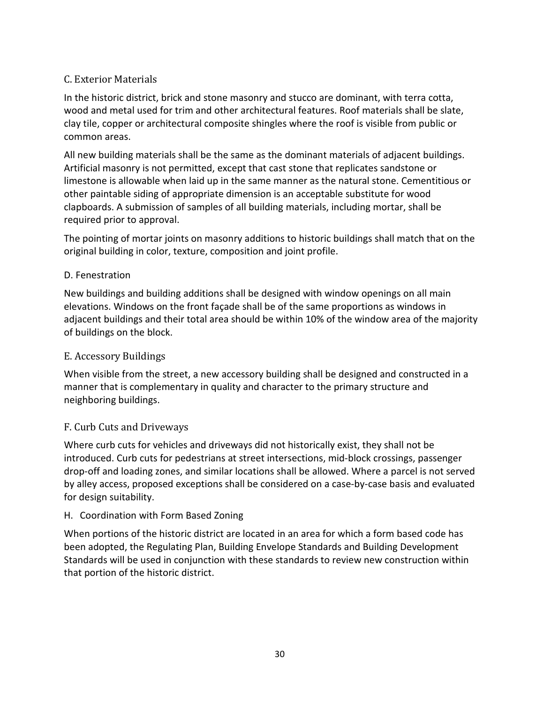# C. Exterior Materials

In the historic district, brick and stone masonry and stucco are dominant, with terra cotta, wood and metal used for trim and other architectural features. Roof materials shall be slate, clay tile, copper or architectural composite shingles where the roof is visible from public or common areas.

All new building materials shall be the same as the dominant materials of adjacent buildings. Artificial masonry is not permitted, except that cast stone that replicates sandstone or limestone is allowable when laid up in the same manner as the natural stone. Cementitious or other paintable siding of appropriate dimension is an acceptable substitute for wood clapboards. A submission of samples of all building materials, including mortar, shall be required prior to approval.

The pointing of mortar joints on masonry additions to historic buildings shall match that on the original building in color, texture, composition and joint profile.

#### D. Fenestration

New buildings and building additions shall be designed with window openings on all main elevations. Windows on the front façade shall be of the same proportions as windows in adjacent buildings and their total area should be within 10% of the window area of the majority of buildings on the block.

#### E. Accessory Buildings

When visible from the street, a new accessory building shall be designed and constructed in a manner that is complementary in quality and character to the primary structure and neighboring buildings.

#### F. Curb Cuts and Driveways

Where curb cuts for vehicles and driveways did not historically exist, they shall not be introduced. Curb cuts for pedestrians at street intersections, mid-block crossings, passenger drop-off and loading zones, and similar locations shall be allowed. Where a parcel is not served by alley access, proposed exceptions shall be considered on a case-by-case basis and evaluated for design suitability.

#### H. Coordination with Form Based Zoning

When portions of the historic district are located in an area for which a form based code has been adopted, the Regulating Plan, Building Envelope Standards and Building Development Standards will be used in conjunction with these standards to review new construction within that portion of the historic district.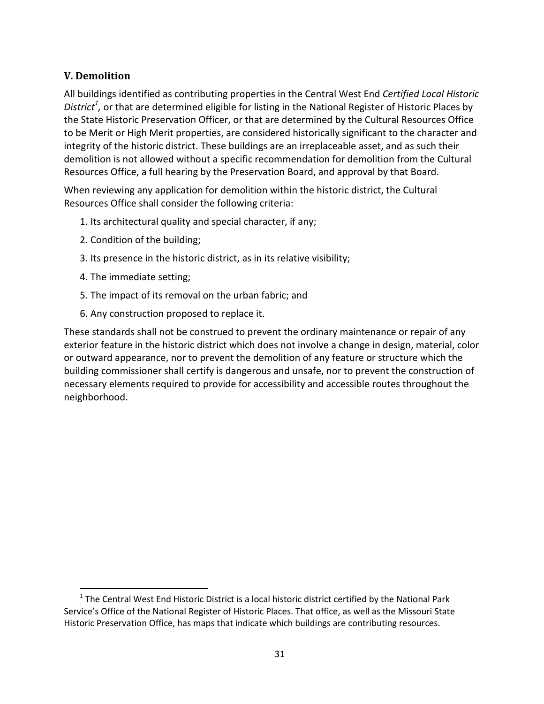# **V. Demolition**

All buildings identified as contributing properties in the Central West End *Certified Local Historic District<sup>1</sup> ,* or that are determined eligible for listing in the National Register of Historic Places by the State Historic Preservation Officer, or that are determined by the Cultural Resources Office to be Merit or High Merit properties, are considered historically significant to the character and integrity of the historic district. These buildings are an irreplaceable asset, and as such their demolition is not allowed without a specific recommendation for demolition from the Cultural Resources Office, a full hearing by the Preservation Board, and approval by that Board.

When reviewing any application for demolition within the historic district, the Cultural Resources Office shall consider the following criteria:

- 1. Its architectural quality and special character, if any;
- 2. Condition of the building;
- 3. Its presence in the historic district, as in its relative visibility;
- 4. The immediate setting;

<u>.</u>

- 5. The impact of its removal on the urban fabric; and
- 6. Any construction proposed to replace it.

These standards shall not be construed to prevent the ordinary maintenance or repair of any exterior feature in the historic district which does not involve a change in design, material, color or outward appearance, nor to prevent the demolition of any feature or structure which the building commissioner shall certify is dangerous and unsafe, nor to prevent the construction of necessary elements required to provide for accessibility and accessible routes throughout the neighborhood.

 $1$  The Central West End Historic District is a local historic district certified by the National Park Service's Office of the National Register of Historic Places. That office, as well as the Missouri State Historic Preservation Office, has maps that indicate which buildings are contributing resources.